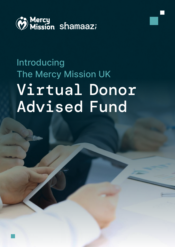

# Introducing The Mercy Mission UK Virtual Donor Advised Fund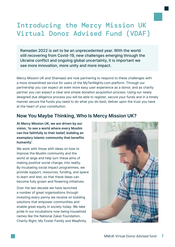### Introducing the Mercy Mission UK Virtual Donor Advised Fund (VDAF)

Ramadan 2022 is set to be an unprecedented year. With the world still recovering from Covid-19, new challenges emerging through the Ukraine conflict and ongoing global uncertainty, it is important we see more innovation, more unity and more impact.

Mercy Mission UK and Shamaazi are now partnering to respond to these challenges with a more streamlined service for users of the MyTenNights.com platform. Through our partnership you can expect an even more easy user experience as a donor, and as charity partner you can expect a clear and simple donation acquisition process. Using our newly designed due diligence process you will be able to register, secure your funds and in a timely manner secure the funds you need to do what you do best; deliver upon the trust you have at the heart of your constitution.

#### **Now You Maybe Thinking, Who Is Mercy Mission UK?**

**At Mercy Mission UK, we are driven by our vision, 'to see a world where every Muslim can live faithfully to their belief, building an exemplary Islamic community that benefits humanity'.**

We work with those with ideas on how to improve the Muslim community and the world at large and help turn these aims of making positive social change, into reality. By incubating social impact programmes, we provide support, resources, funding, and space to learn and test, so that these ideas can become fully grown and flowering initiatives.

Over the last decade we have launched a number of great organisations through investing every penny we receive on building solutions that empower communities and enable great equity in society today. We take pride in our incubations now being household names like the National Zakat Foundation, Charity Right, My Foster Family and Waqfinity.

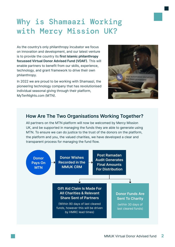### Why is Shamaazi Working with Mercy Mission UK?

As the country's only philanthropy incubator we focus on innovation and development, and our latest venture is to provide the country its **first Islamic philanthropy focussed Virtual Donor Advised Fund (VDAF)**. This will enable partners to benefit from our skills, experience, technology, and grant framework to drive their own philanthropy.

In 2022 we are proud to be working with Shamaazi, the pioneering technology company that has revolutionised individual seasonal giving through their platform, MyTenNights.com (MTN).



#### **How Are The Two Organisations Working Together?**

All partners on the MTN platform will now be welcomed by Mercy Mission UK, and be supported in managing the funds they are able to generate using MTN. To ensure we can do justice to the trust of the donors on the platform, the platform and you, the valued charities, we have developed a clear and transparent process for managing the fund flow.

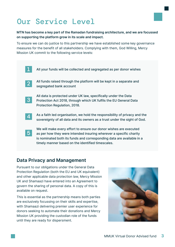### Our Service Level

**MTN has become a key part of the Ramadan fundraising architecture, and we are focussed on supporting the platform grow in its scale and impact.**

To ensure we can do justice to this partnership we have established some key governance measures for the benefit of all stakeholders. Complying with them, God Willing, Mercy Mission UK commit to the following service levels:

All your funds will be collected and segregated as per donor wishes All funds raised through the platform will be kept in a separate and segregated bank account All data is protected under UK law, specifically under the Data Protection Act 2018, through which UK fulfils the EU General Data Protection Regulation, 2018. As a faith led organisation, we hold the responsibility of privacy and the sovereignty of all data and its owners as a trust under the sight of God. We will make every effort to ensure our donor wishes are executed as per how they were intended insuring wherever a specific charity is nominated both its funds and corresponding data are available in a timely manner based on the identified timescales. 1 2 3 4 5

#### **Data Privacy and Management**

Pursuant to our obligations under the General Data Protection Regulation (both the EU and UK equivalent) and other applicable data protection law, Mercy Mission UK and Shamaazi have entered into an Agreement to govern the sharing of personal data. A copy of this is available on request.

This is essential as the partnership means both parties are exclusively focussing on their skills and expertise, with Shamaazi delivering premier user experience for donors seeking to automate their donations and Mercy Mission UK providing the custodian role of the funds until they are ready for dispersment.

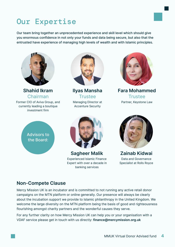

## Our Expertise

Our team bring together an unprecedented experience and skill level which should give you enormous confidence in not only your funds and data being secure, but also that the entrusted have experience of managing high levels of wealth and with Islamic principles.



**Shahid Ikram**  Chairman Former CIO of Aviva Group, and currently leading a boutique

investment firm



**Ilyas Mansha Trustee** Managing Director at Accenture Security



**Fara Mohammed Trustee** Partner, Keystone Law

Advisors to the Board:



**Sagheer Malik**  Experienced Islamic Finance Expert with over a decade in banking services



**Zainab Kidwai** Data and Governance Specialist at Rolls Royce

#### **Non-Compete Clause**

Mercy Mission UK is an incubator and is committed to not running any active retail donor campaigns on the MTN platform or online generally. Our presence will always be clearly about the incubation support we provide to Islamic philanthropy in the United Kingdom. We welcome the large diversity on the MTN platform being the basis of good and righteousness flourishing amongst charity partners and the wonderful causes they serve.

For any further clarity on how Mercy Mission UK can help you or your organisation with a VDAF service please get in touch with us directly: **finance@mercymission.org.uk**